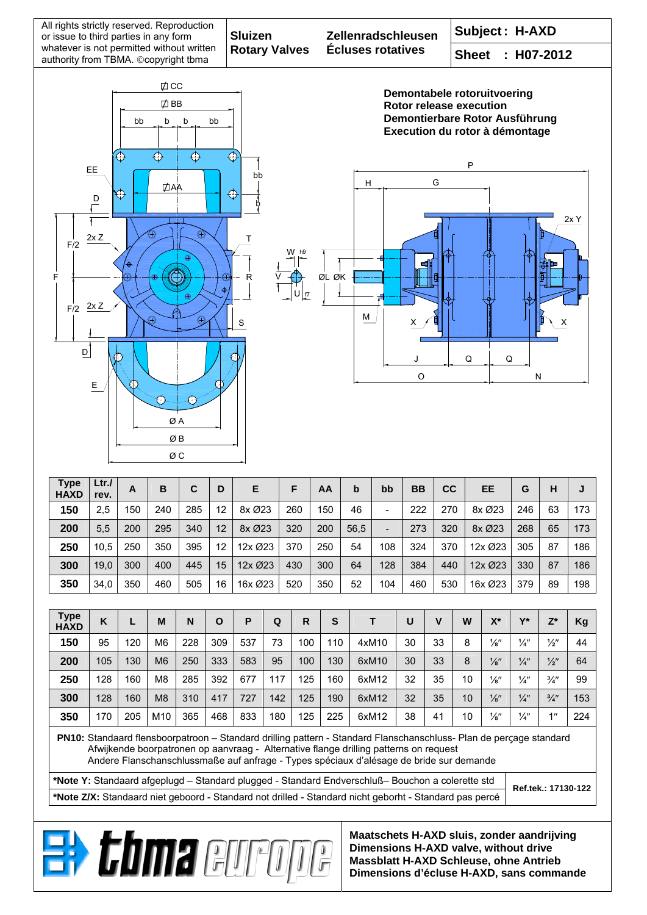**Sluizen Zellenradschleusen**  Rotary Valves Écluses rotatives **Sheet : H07-2012** 





| <b>Type</b><br><b>HAXD</b> | Ltr./<br>rev. | A   | B   | С   | D           | E       |    | F   | AA  | b    | bb                       | BB  | cc  |   | EE              | G              | н               | J   |
|----------------------------|---------------|-----|-----|-----|-------------|---------|----|-----|-----|------|--------------------------|-----|-----|---|-----------------|----------------|-----------------|-----|
| 150                        | 2,5           | 150 | 240 | 285 | 12          | 8x Ø23  |    | 260 | 150 | 46   | $\overline{\phantom{0}}$ | 222 | 270 |   | 8x Ø23          | 246            | 63              | 173 |
| 200                        | 5,5           | 200 | 295 | 340 | 12          | 8x Ø23  |    | 320 | 200 | 56,5 | -                        | 273 | 320 |   | 8x Ø23          | 268            | 65              | 173 |
| 250                        | 10,5          | 250 | 350 | 395 | 12          | 12x Ø23 |    | 370 | 250 | 54   | 108                      | 324 | 370 |   | 12x Ø23         | 305            | 87              | 186 |
| 300                        | 19,0          | 300 | 400 | 445 | 15          | 12x Ø23 |    | 430 | 300 | 64   | 128                      | 384 | 440 |   | 12x Ø23         | 330            | 87              | 186 |
| 350                        | 34,0          | 350 | 460 | 505 | 16          | 16x Ø23 |    | 520 | 350 | 52   | 104                      | 460 | 530 |   | 16x Ø23         | 379            | 89              | 198 |
|                            |               |     |     |     |             |         |    |     |     |      |                          |     |     |   |                 |                |                 |     |
| <b>Type</b><br><b>HAXD</b> | K             |     | M   | N   | $\mathbf O$ | P       | Q  | R   | S   |      | Т                        | U   | v   | W | $X^*$           | $\mathbf{v}^*$ | $Z^*$           | Kg  |
| 150                        | 95            | 120 | M6  | 228 | 309         | 537     | 73 | 100 | 110 |      | 4xM10                    | 30  | 33  | 8 | $\frac{1}{8}$ " | $\frac{1}{4}$  | $\frac{1}{2}$ " | 44  |

| 150 | 95  | 120 | M6             | 228 | 309 | 537 | 73  | 100 | 110 | 4xM10 | 30 | 33 | 8  | $\frac{1}{8}$ " | $\frac{1}{4}$ | $\frac{1}{2}$ " | 44  |
|-----|-----|-----|----------------|-----|-----|-----|-----|-----|-----|-------|----|----|----|-----------------|---------------|-----------------|-----|
| 200 | 105 | 130 | M <sub>6</sub> | 250 | 333 | 583 | 95  | 100 | 130 | 6xM10 | 30 | 33 | 8  | $\frac{1}{8}$ " | $\frac{1}{4}$ | $\frac{1}{2}$ " | 64  |
| 250 | 128 | 160 | M <sub>8</sub> | 285 | 392 | 677 | 117 | 125 | 160 | 6xM12 | 32 | 35 | 10 | $\frac{1}{8}$ " | $\frac{1}{4}$ | $\frac{3}{4}$ " | 99  |
| 300 | 128 | 160 | M <sub>8</sub> | 310 | 417 | 727 | 142 | 125 | 190 | 6xM12 | 32 | 35 | 10 | $\frac{1}{8}$ " | $\frac{1}{4}$ | $\frac{3}{4}$ " | 153 |
| 350 | 170 | 205 | M10            | 365 | 468 | 833 | 180 | 125 | 225 | 6xM12 | 38 | 41 | 10 | $\frac{1}{8}$ " | $\frac{1}{4}$ | 4 <sub>II</sub> | 224 |

**PN10:** Standaard flensboorpatroon – Standard drilling pattern - Standard Flanschanschluss- Plan de perςage standard Afwijkende boorpatronen op aanvraag - Alternative flange drilling patterns on request Andere Flanschanschlussmaße auf anfrage - Types spéciaux d'alésage de bride sur demande

**\*Note Y:** Standaard afgeplugd – Standard plugged - Standard Endverschluß– Bouchon a colerette std **\*Note Z/X:** Standaard niet geboord - Standard not drilled - Standard nicht geborht - Standard pas percé

**Ref.tek.: 17130-122**

**Maatschets H-AXD sluis, zonder aandrijving Dimensions H-AXD valve, without drive Massblatt H-AXD Schleuse, ohne Antrieb Dimensions d'écluse H-AXD, sans commande** 

**Bir thma euro**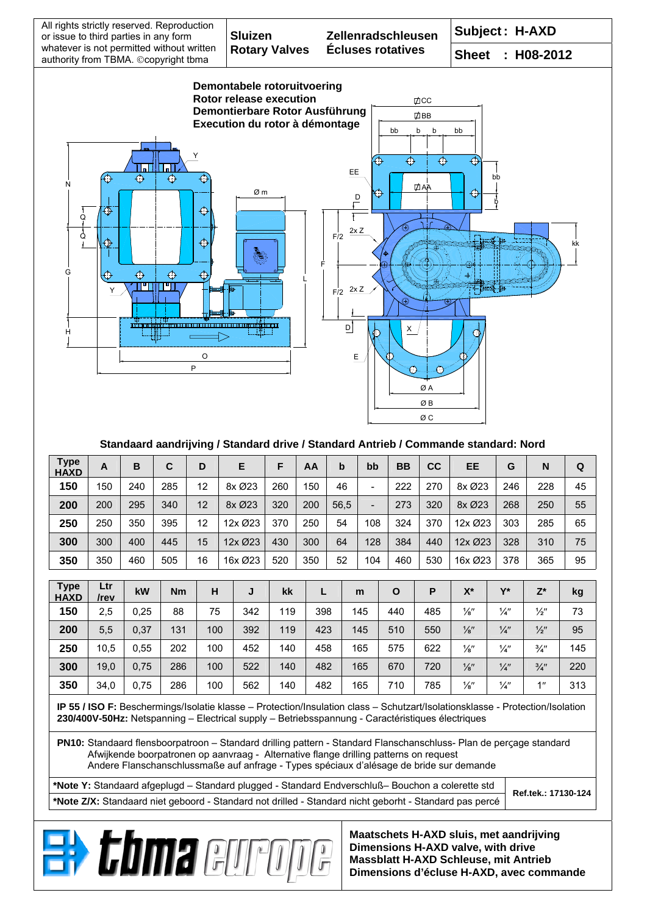

## **Standaard aandrijving / Standard drive / Standard Antrieb / Commande standard: Nord**

| <b>Type</b><br><b>HAXD</b> | A   | в   | С   | D  | E       | F   | AA  | b    | bb                       | <b>BB</b> | cc  | EE      | G   | N   | Q  |
|----------------------------|-----|-----|-----|----|---------|-----|-----|------|--------------------------|-----------|-----|---------|-----|-----|----|
| 150                        | 150 | 240 | 285 | 12 | 8x Ø23  | 260 | 150 | 46   | -                        | 222       | 270 | 8x Ø23  | 246 | 228 | 45 |
| 200                        | 200 | 295 | 340 | 12 | 8x Ø23  | 320 | 200 | 56,5 | $\overline{\phantom{0}}$ | 273       | 320 | 8x Ø23  | 268 | 250 | 55 |
| 250                        | 250 | 350 | 395 | 12 | 12x Ø23 | 370 | 250 | 54   | 108                      | 324       | 370 | 12x Ø23 | 303 | 285 | 65 |
| 300                        | 300 | 400 | 445 | 15 | 12x Ø23 | 430 | 300 | 64   | 128                      | 384       | 440 | 12x Ø23 | 328 | 310 | 75 |
| 350                        | 350 | 460 | 505 | 16 | 16x Ø23 | 520 | 350 | 52   | 104                      | 460       | 530 | 16x Ø23 | 378 | 365 | 95 |

| Type<br><b>HAXD</b> | Ltr<br>/rev | kW   | Nm  | н   | J   | kk  |     | m   | O   | Ρ   | $X^*$           | $\mathbf{v}^*$ | Z*              | kg  |
|---------------------|-------------|------|-----|-----|-----|-----|-----|-----|-----|-----|-----------------|----------------|-----------------|-----|
| 150                 | 2,5         | 0.25 | 88  | 75  | 342 | 119 | 398 | 145 | 440 | 485 | $\frac{1}{8}$ " | $\frac{1}{4}$  | $\frac{1}{2}$ " | 73  |
| 200                 | 5,5         | 0,37 | 131 | 100 | 392 | 119 | 423 | 145 | 510 | 550 | $\frac{1}{8}$ " | $\frac{1}{4}$  | $\frac{1}{2}$ " | 95  |
| 250                 | 10,5        | 0.55 | 202 | 100 | 452 | 140 | 458 | 165 | 575 | 622 | $\frac{1}{8}$ " | $\frac{1}{4}$  | $\frac{3}{4}$ " | 145 |
| 300                 | 19,0        | 0.75 | 286 | 100 | 522 | 140 | 482 | 165 | 670 | 720 | $\frac{1}{8}$ " | $\frac{1}{4}$  | $\frac{3}{4}$ " | 220 |
| 350                 | 34,0        | 0,75 | 286 | 100 | 562 | 140 | 482 | 165 | 710 | 785 | $\frac{1}{8}$ " | $\frac{1}{4}$  | 1 <sub>II</sub> | 313 |

**IP 55 / ISO F:** Beschermings/Isolatie klasse – Protection/Insulation class – Schutzart/Isolationsklasse - Protection/Isolation **230/400V-50Hz:** Netspanning – Electrical supply – Betriebsspannung - Caractéristiques électriques

**PN10:** Standaard flensboorpatroon – Standard drilling pattern - Standard Flanschanschluss- Plan de perςage standard Afwijkende boorpatronen op aanvraag - Alternative flange drilling patterns on request Andere Flanschanschlussmaße auf anfrage - Types spéciaux d'alésage de bride sur demande

**\*Note Y:** Standaard afgeplugd – Standard plugged - Standard Endverschluß– Bouchon a colerette std **\*Note Z/X:** Standaard niet geboord - Standard not drilled - Standard nicht geborht - Standard pas percé

**Ref.tek.: 17130-124**

**Ei) Coma euro** 

**Maatschets H-AXD sluis, met aandrijving Dimensions H-AXD valve, with drive Massblatt H-AXD Schleuse, mit Antrieb Dimensions d'écluse H-AXD, avec commande**